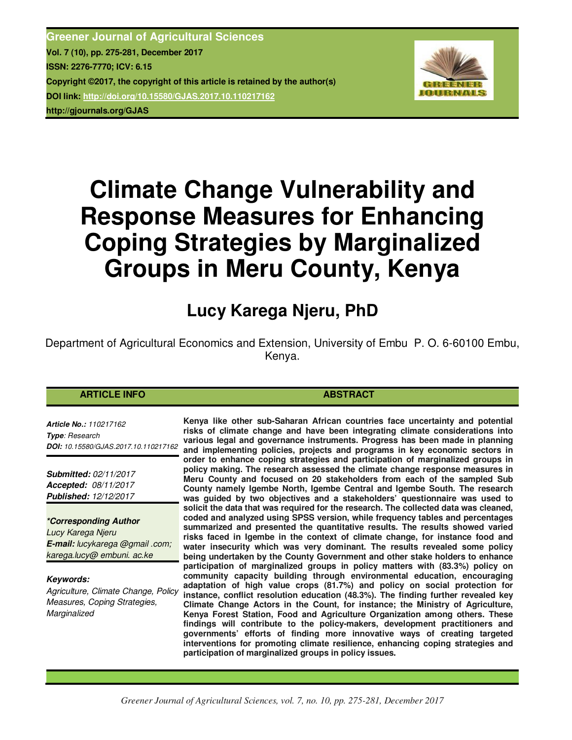**Greener Journal of Agricultural Sciences Vol. 7 (10), pp. 275-281, December 2017 ISSN: 2276-7770; ICV: 6.15 Copyright ©2017, the copyright of this article is retained by the author(s) DOI link: http://doi.org/10.15580/GJAS.2017.10.110217162 http://gjournals.org/GJAS**



# **Climate Change Vulnerability and Response Measures for Enhancing Coping Strategies by Marginalized Groups in Meru County, Kenya**

## **Lucy Karega Njeru, PhD**

Department of Agricultural Economics and Extension, University of Embu P. O. 6-60100 Embu, Kenya.

#### **ARTICLE INFO ABSTRACT ABSTRACT**

*Article No.: 110217162 Type: Research DOI: 10.15580/GJAS.2017.10.110217162*

*Submitted: 02/11/2017 Accepted: 08/11/2017 Published: 12/12/2017*

*\*Corresponding Author Lucy Karega Njeru E-mail: lucykarega @gmail .com; karega.lucy@ embuni. ac.ke*

*Keywords: Agriculture, Climate Change, Policy Measures, Coping Strategies, Marginalized*

**Kenya like other sub-Saharan African countries face uncertainty and potential risks of climate change and have been integrating climate considerations into various legal and governance instruments. Progress has been made in planning and implementing policies, projects and programs in key economic sectors in order to enhance coping strategies and participation of marginalized groups in policy making. The research assessed the climate change response measures in Meru County and focused on 20 stakeholders from each of the sampled Sub County namely Igembe North, Igembe Central and Igembe South. The research was guided by two objectives and a stakeholders' questionnaire was used to solicit the data that was required for the research. The collected data was cleaned, coded and analyzed using SPSS version, while frequency tables and percentages summarized and presented the quantitative results. The results showed varied risks faced in Igembe in the context of climate change, for instance food and water insecurity which was very dominant. The results revealed some policy being undertaken by the County Government and other stake holders to enhance participation of marginalized groups in policy matters with (83.3%) policy on community capacity building through environmental education, encouraging adaptation of high value crops (81.7%) and policy on social protection for instance, conflict resolution education (48.3%). The finding further revealed key Climate Change Actors in the Count, for instance; the Ministry of Agriculture, Kenya Forest Station, Food and Agriculture Organization among others. These findings will contribute to the policy-makers, development practitioners and governments' efforts of finding more innovative ways of creating targeted interventions for promoting climate resilience, enhancing coping strategies and participation of marginalized groups in policy issues.**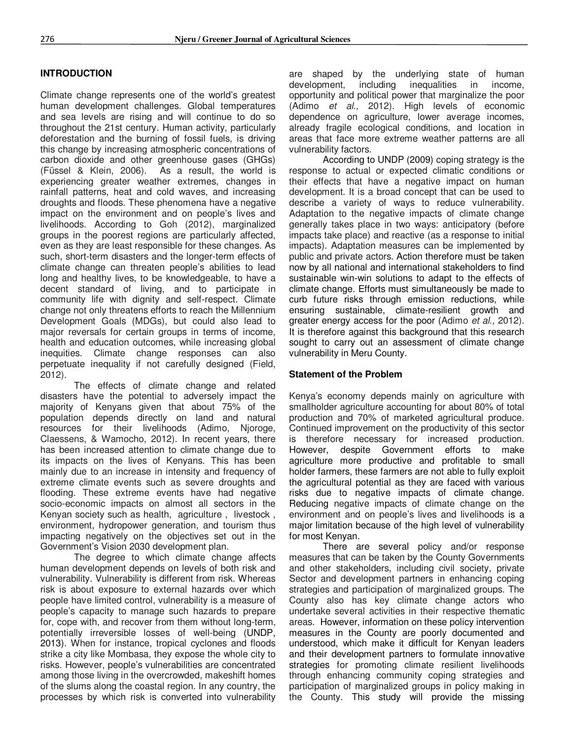### **INTRODUCTION**

Climate change represents one of the world's greatest human development challenges. Global temperatures and sea levels are rising and will continue to do so throughout the 21st century. Human activity, particularly deforestation and the burning of fossil fuels, is driving this change by increasing atmospheric concentrations of carbon dioxide and other greenhouse gases (GHGs) (Füssel & Klein, 2006). As a result, the world is experiencing greater weather extremes, changes in rainfall patterns, heat and cold waves, and increasing droughts and floods. These phenomena have a negative impact on the environment and on people's lives and livelihoods. According to Goh (2012), marginalized groups in the poorest regions are particularly affected, even as they are least responsible for these changes. As such, short-term disasters and the longer-term effects of climate change can threaten people's abilities to lead long and healthy lives, to be knowledgeable, to have a decent standard of living, and to participate in community life with dignity and self-respect. Climate change not only threatens efforts to reach the Millennium Development Goals (MDGs), but could also lead to major reversals for certain groups in terms of income, health and education outcomes, while increasing global inequities. Climate change responses can also perpetuate inequality if not carefully designed (Field, 2012).

The effects of climate change and related disasters have the potential to adversely impact the majority of Kenyans given that about 75% of the population depends directly on land and natural resources for their livelihoods (Adimo, Njoroge, Claessens, & Wamocho, 2012). In recent years, there has been increased attention to climate change due to its impacts on the lives of Kenyans. This has been mainly due to an increase in intensity and frequency of extreme climate events such as severe droughts and flooding. These extreme events have had negative socio-economic impacts on almost all sectors in the Kenyan society such as health, agriculture , livestock , environment, hydropower generation, and tourism thus impacting negatively on the objectives set out in the Government's Vision 2030 development plan.

The degree to which climate change affects human development depends on levels of both risk and vulnerability. Vulnerability is different from risk. Whereas risk is about exposure to external hazards over which people have limited control, vulnerability is a measure of people's capacity to manage such hazards to prepare for, cope with, and recover from them without long-term, potentially irreversible losses of well-being (UNDP, 2013). When for instance, tropical cyclones and floods strike a city like Mombasa, they expose the whole city to risks. However, people's vulnerabilities are concentrated among those living in the overcrowded, makeshift homes of the slums along the coastal region. In any country, the processes by which risk is converted into vulnerability are shaped by the underlying state of human development, including inequalities in income, opportunity and political power that marginalize the poor (Adimo *et al.,* 2012). High levels of economic dependence on agriculture, lower average incomes, already fragile ecological conditions, and location in areas that face more extreme weather patterns are all vulnerability factors.

According to UNDP (2009) coping strategy is the response to actual or expected climatic conditions or their effects that have a negative impact on human development. It is a broad concept that can be used to describe a variety of ways to reduce vulnerability. Adaptation to the negative impacts of climate change generally takes place in two ways: anticipatory (before impacts take place) and reactive (as a response to initial impacts). Adaptation measures can be implemented by public and private actors. Action therefore must be taken now by all national and international stakeholders to find sustainable win-win solutions to adapt to the effects of climate change. Efforts must simultaneously be made to curb future risks through emission reductions, while ensuring sustainable, climate-resilient growth and greater energy access for the poor (Adimo *et al.,* 2012). It is therefore against this background that this research sought to carry out an assessment of climate change vulnerability in Meru County.

#### **Statement of the Problem**

Kenya's economy depends mainly on agriculture with smallholder agriculture accounting for about 80% of total production and 70% of marketed agricultural produce. Continued improvement on the productivity of this sector is therefore necessary for increased production. However, despite Government efforts to make agriculture more productive and profitable to small holder farmers, these farmers are not able to fully exploit the agricultural potential as they are faced with various risks due to negative impacts of climate change. Reducing negative impacts of climate change on the environment and on people's lives and livelihoods is a major limitation because of the high level of vulnerability for most Kenyan.

There are several policy and/or response measures that can be taken by the County Governments and other stakeholders, including civil society, private Sector and development partners in enhancing coping strategies and participation of marginalized groups. The County also has key climate change actors who undertake several activities in their respective thematic areas. However, information on these policy intervention measures in the County are poorly documented and understood, which make it difficult for Kenyan leaders and their development partners to formulate innovative strategies for promoting climate resilient livelihoods through enhancing community coping strategies and participation of marginalized groups in policy making in the County. This study will provide the missing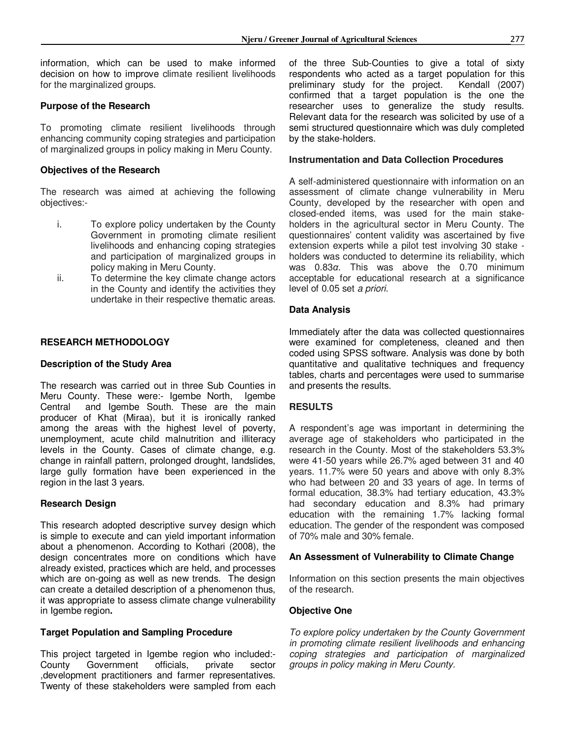information, which can be used to make informed decision on how to improve climate resilient livelihoods for the marginalized groups.

#### **Purpose of the Research**

To promoting climate resilient livelihoods through enhancing community coping strategies and participation of marginalized groups in policy making in Meru County.

#### **Objectives of the Research**

The research was aimed at achieving the following objectives:-

- i. To explore policy undertaken by the County Government in promoting climate resilient livelihoods and enhancing coping strategies and participation of marginalized groups in policy making in Meru County.
- ii. To determine the key climate change actors in the County and identify the activities they undertake in their respective thematic areas.

#### **RESEARCH METHODOLOGY**

#### **Description of the Study Area**

The research was carried out in three Sub Counties in Meru County. These were:- Igembe North, Igembe Central and Igembe South. These are the main producer of Khat (Miraa), but it is ironically ranked among the areas with the highest level of poverty, unemployment, acute child malnutrition and illiteracy levels in the County. Cases of climate change, e.g. change in rainfall pattern, prolonged drought, landslides, large gully formation have been experienced in the region in the last 3 years.

#### **Research Design**

This research adopted descriptive survey design which is simple to execute and can yield important information about a phenomenon. According to Kothari (2008), the design concentrates more on conditions which have already existed, practices which are held, and processes which are on-going as well as new trends. The design can create a detailed description of a phenomenon thus, it was appropriate to assess climate change vulnerability in Igembe region**.** 

#### **Target Population and Sampling Procedure**

This project targeted in Igembe region who included:<br>County Government officials, private sector Government officials, private sector ,development practitioners and farmer representatives. Twenty of these stakeholders were sampled from each of the three Sub-Counties to give a total of sixty respondents who acted as a target population for this preliminary study for the project. Kendall (2007) preliminary study for the project. confirmed that a target population is the one the researcher uses to generalize the study results. Relevant data for the research was solicited by use of a semi structured questionnaire which was duly completed by the stake-holders.

#### **Instrumentation and Data Collection Procedures**

A self-administered questionnaire with information on an assessment of climate change vulnerability in Meru County, developed by the researcher with open and closed-ended items, was used for the main stakeholders in the agricultural sector in Meru County. The questionnaires' content validity was ascertained by five extension experts while a pilot test involving 30 stake holders was conducted to determine its reliability, which was 0.83*α*. This was above the 0.70 minimum acceptable for educational research at a significance level of 0.05 set *a priori*.

#### **Data Analysis**

Immediately after the data was collected questionnaires were examined for completeness, cleaned and then coded using SPSS software. Analysis was done by both quantitative and qualitative techniques and frequency tables, charts and percentages were used to summarise and presents the results.

#### **RESULTS**

A respondent's age was important in determining the average age of stakeholders who participated in the research in the County. Most of the stakeholders 53.3% were 41-50 years while 26.7% aged between 31 and 40 years. 11.7% were 50 years and above with only 8.3% who had between 20 and 33 years of age. In terms of formal education, 38.3% had tertiary education, 43.3% had secondary education and 8.3% had primary education with the remaining 1.7% lacking formal education. The gender of the respondent was composed of 70% male and 30% female.

#### **An Assessment of Vulnerability to Climate Change**

Information on this section presents the main objectives of the research.

#### **Objective One**

*To explore policy undertaken by the County Government in promoting climate resilient livelihoods and enhancing coping strategies and participation of marginalized groups in policy making in Meru County.*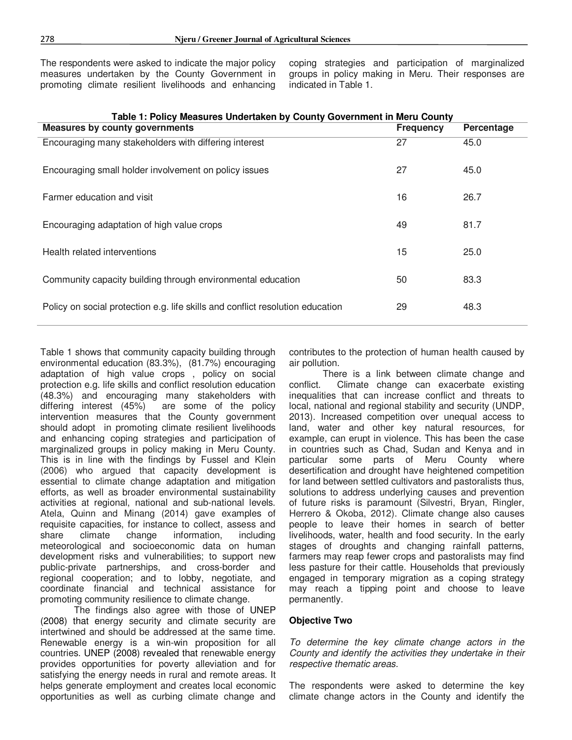The respondents were asked to indicate the major policy measures undertaken by the County Government in promoting climate resilient livelihoods and enhancing

coping strategies and participation of marginalized groups in policy making in Meru. Their responses are indicated in Table 1.

| <b>I AVIC 1. FUILLY MEASURES UNDERIGNER DY COUNTY GOVERNMENT IN METU COUNTY</b> |                  |            |  |  |  |
|---------------------------------------------------------------------------------|------------------|------------|--|--|--|
| <b>Measures by county governments</b>                                           | <b>Frequency</b> | Percentage |  |  |  |
| Encouraging many stakeholders with differing interest                           | 27               | 45.0       |  |  |  |
| Encouraging small holder involvement on policy issues                           | 27               | 45.0       |  |  |  |
| Farmer education and visit                                                      | 16               | 26.7       |  |  |  |
| Encouraging adaptation of high value crops                                      | 49               | 81.7       |  |  |  |
| Health related interventions                                                    | 15               | 25.0       |  |  |  |
| Community capacity building through environmental education                     | 50               | 83.3       |  |  |  |
| Policy on social protection e.g. life skills and conflict resolution education  | 29               | 48.3       |  |  |  |

**Table 1: Policy Measures Undertaken by County Government in Meru County** 

Table 1 shows that community capacity building through environmental education (83.3%), (81.7%) encouraging adaptation of high value crops , policy on social protection e.g. life skills and conflict resolution education (48.3%) and encouraging many stakeholders with are some of the policy intervention measures that the County government should adopt in promoting climate resilient livelihoods and enhancing coping strategies and participation of marginalized groups in policy making in Meru County. This is in line with the findings by Fussel and Klein (2006) who argued that capacity development is essential to climate change adaptation and mitigation efforts, as well as broader environmental sustainability activities at regional, national and sub-national levels. Atela, Quinn and Minang (2014) gave examples of requisite capacities, for instance to collect, assess and<br>share climate change information. including share climate change information, including meteorological and socioeconomic data on human development risks and vulnerabilities; to support new public-private partnerships, and cross-border and regional cooperation; and to lobby, negotiate, and coordinate financial and technical assistance for promoting community resilience to climate change.

The findings also agree with those of UNEP (2008) that energy security and climate security are intertwined and should be addressed at the same time. Renewable energy is a win-win proposition for all countries. UNEP (2008) revealed that renewable energy provides opportunities for poverty alleviation and for satisfying the energy needs in rural and remote areas. It helps generate employment and creates local economic opportunities as well as curbing climate change and contributes to the protection of human health caused by air pollution.

There is a link between climate change and conflict. Climate change can exacerbate existing inequalities that can increase conflict and threats to local, national and regional stability and security (UNDP, 2013). Increased competition over unequal access to land, water and other key natural resources, for example, can erupt in violence. This has been the case in countries such as Chad, Sudan and Kenya and in particular some parts of Meru County where desertification and drought have heightened competition for land between settled cultivators and pastoralists thus, solutions to address underlying causes and prevention of future risks is paramount (Silvestri, Bryan, Ringler, Herrero & Okoba, 2012). Climate change also causes people to leave their homes in search of better livelihoods, water, health and food security. In the early stages of droughts and changing rainfall patterns, farmers may reap fewer crops and pastoralists may find less pasture for their cattle. Households that previously engaged in temporary migration as a coping strategy may reach a tipping point and choose to leave permanently.

#### **Objective Two**

*To determine the key climate change actors in the County and identify the activities they undertake in their respective thematic areas.* 

The respondents were asked to determine the key climate change actors in the County and identify the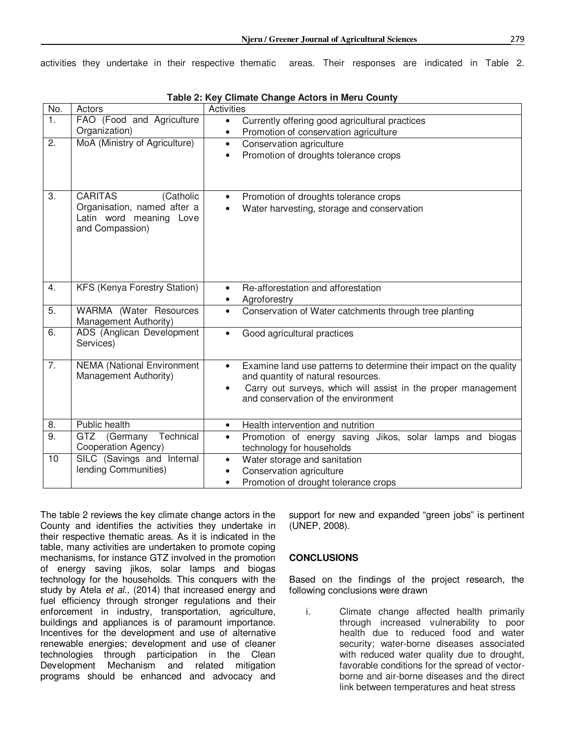activities they undertake in their respective thematic areas. Their responses are indicated in Table 2.

| No.              | Actors                                          | <b>Activities</b>                                                                                  |  |  |
|------------------|-------------------------------------------------|----------------------------------------------------------------------------------------------------|--|--|
| 1.               | FAO (Food and Agriculture                       | Currently offering good agricultural practices<br>$\bullet$                                        |  |  |
|                  | Organization)                                   | Promotion of conservation agriculture<br>$\bullet$                                                 |  |  |
| 2.               | MoA (Ministry of Agriculture)                   | Conservation agriculture<br>$\bullet$                                                              |  |  |
|                  |                                                 | Promotion of droughts tolerance crops<br>$\bullet$                                                 |  |  |
|                  |                                                 |                                                                                                    |  |  |
|                  |                                                 |                                                                                                    |  |  |
| 3.               | <b>CARITAS</b><br>(Catholic                     | Promotion of droughts tolerance crops<br>$\bullet$                                                 |  |  |
|                  | Organisation, named after a                     | Water harvesting, storage and conservation<br>$\bullet$                                            |  |  |
|                  | Latin word meaning Love<br>and Compassion)      |                                                                                                    |  |  |
|                  |                                                 |                                                                                                    |  |  |
|                  |                                                 |                                                                                                    |  |  |
|                  |                                                 |                                                                                                    |  |  |
|                  |                                                 |                                                                                                    |  |  |
| 4.               | <b>KFS (Kenya Forestry Station)</b>             | Re-afforestation and afforestation                                                                 |  |  |
|                  |                                                 | Agroforestry<br>$\bullet$                                                                          |  |  |
| 5.               | WARMA (Water Resources<br>Management Authority) | Conservation of Water catchments through tree planting<br>$\bullet$                                |  |  |
| 6.               | ADS (Anglican Development                       | Good agricultural practices<br>$\bullet$                                                           |  |  |
|                  | Services)                                       |                                                                                                    |  |  |
| $\overline{7}$ . | <b>NEMA (National Environment</b>               | Examine land use patterns to determine their impact on the quality                                 |  |  |
|                  | Management Authority)                           | and quantity of natural resources.                                                                 |  |  |
|                  |                                                 | Carry out surveys, which will assist in the proper management                                      |  |  |
|                  |                                                 | and conservation of the environment                                                                |  |  |
|                  | Public health                                   |                                                                                                    |  |  |
| 8.<br>9.         |                                                 | Health intervention and nutrition<br>$\bullet$                                                     |  |  |
|                  | GTZ (Germany Technical<br>Cooperation Agency)   | Promotion of energy saving Jikos, solar lamps and biogas<br>$\bullet$<br>technology for households |  |  |
| 10               | SILC (Savings and Internal                      | Water storage and sanitation<br>$\bullet$                                                          |  |  |
|                  | lending Communities)                            | Conservation agriculture                                                                           |  |  |
|                  |                                                 | Promotion of drought tolerance crops<br>$\bullet$                                                  |  |  |

| Table 2: Key Climate Change Actors in Meru County |  |  |  |
|---------------------------------------------------|--|--|--|
|---------------------------------------------------|--|--|--|

The table 2 reviews the key climate change actors in the County and identifies the activities they undertake in their respective thematic areas. As it is indicated in the table, many activities are undertaken to promote coping mechanisms, for instance GTZ involved in the promotion of energy saving jikos, solar lamps and biogas technology for the households. This conquers with the study by Atela *et al.,* (2014) that increased energy and fuel efficiency through stronger regulations and their enforcement in industry, transportation, agriculture, buildings and appliances is of paramount importance. Incentives for the development and use of alternative renewable energies; development and use of cleaner technologies through participation in the Clean Development Mechanism and related mitigation programs should be enhanced and advocacy and support for new and expanded "green jobs" is pertinent (UNEP, 2008).

#### **CONCLUSIONS**

Based on the findings of the project research, the following conclusions were drawn

i. Climate change affected health primarily through increased vulnerability to poor health due to reduced food and water security; water-borne diseases associated with reduced water quality due to drought, favorable conditions for the spread of vectorborne and air-borne diseases and the direct link between temperatures and heat stress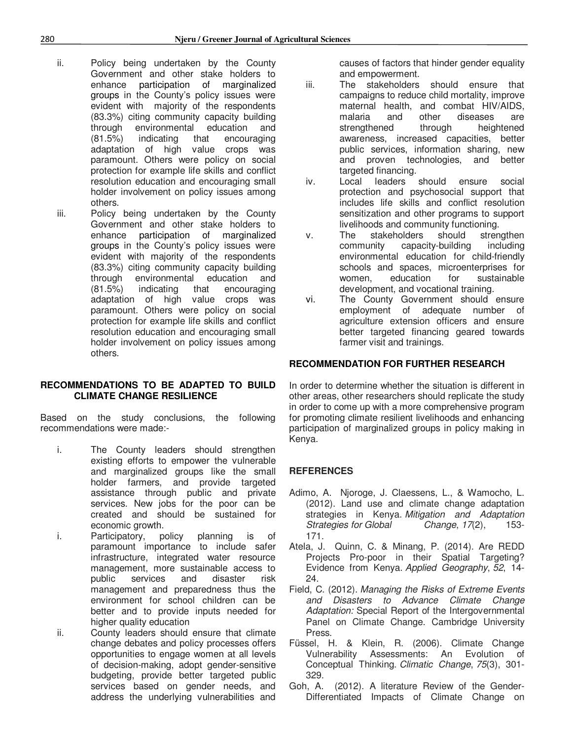- ii. Policy being undertaken by the County Government and other stake holders to enhance participation of marginalized groups in the County's policy issues were evident with majority of the respondents (83.3%) citing community capacity building through environmental education and (81.5%) indicating that encouraging adaptation of high value crops was paramount. Others were policy on social protection for example life skills and conflict resolution education and encouraging small holder involvement on policy issues among others.
- iii. Policy being undertaken by the County Government and other stake holders to enhance participation of marginalized groups in the County's policy issues were evident with majority of the respondents (83.3%) citing community capacity building through environmental education and (81.5%) indicating that encouraging adaptation of high value crops was paramount. Others were policy on social protection for example life skills and conflict resolution education and encouraging small holder involvement on policy issues among others.

#### **RECOMMENDATIONS TO BE ADAPTED TO BUILD CLIMATE CHANGE RESILIENCE**

Based on the study conclusions, the following recommendations were made:-

- i. The County leaders should strengthen existing efforts to empower the vulnerable and marginalized groups like the small holder farmers, and provide targeted assistance through public and private services. New jobs for the poor can be created and should be sustained for economic growth.
- i. Participatory, policy planning is of paramount importance to include safer infrastructure, integrated water resource management, more sustainable access to public services and disaster risk management and preparedness thus the environment for school children can be better and to provide inputs needed for higher quality education
- ii. County leaders should ensure that climate change debates and policy processes offers opportunities to engage women at all levels of decision-making, adopt gender-sensitive budgeting, provide better targeted public services based on gender needs, and address the underlying vulnerabilities and

causes of factors that hinder gender equality and empowerment.

- iii. The stakeholders should ensure that campaigns to reduce child mortality, improve maternal health, and combat HIV/AIDS, malaria and other diseases are strengthened through heightened awareness, increased capacities, better public services, information sharing, new and proven technologies, and better targeted financing.<br>Local leaders
- iv. Local leaders should ensure social protection and psychosocial support that includes life skills and conflict resolution sensitization and other programs to support livelihoods and community functioning.
- v. The stakeholders should strengthen community capacity-building including environmental education for child-friendly schools and spaces, microenterprises for women, education for sustainable development, and vocational training.
- vi. The County Government should ensure employment of adequate number of agriculture extension officers and ensure better targeted financing geared towards farmer visit and trainings.

#### **RECOMMENDATION FOR FURTHER RESEARCH**

In order to determine whether the situation is different in other areas, other researchers should replicate the study in order to come up with a more comprehensive program for promoting climate resilient livelihoods and enhancing participation of marginalized groups in policy making in Kenya.

#### **REFERENCES**

- Adimo, A. Njoroge, J. Claessens, L., & Wamocho, L. (2012). Land use and climate change adaptation strategies in Kenya. *Mitigation and Adaptation Strategies for Global Change*, *17*(2), 153- 171.
- Atela, J. Quinn, C. & Minang, P. (2014). Are REDD Projects Pro-poor in their Spatial Targeting? Evidence from Kenya. *Applied Geography*, *52*, 14- 24.
- Field, C. (2012). *Managing the Risks of Extreme Events and Disasters to Advance Climate Change Adaptation:* Special Report of the Intergovernmental Panel on Climate Change. Cambridge University Press.
- Füssel, H. & Klein, R. (2006). Climate Change Vulnerability Assessments: An Evolution of Conceptual Thinking. *Climatic Change*, *75*(3), 301- 329.
- Goh, A. (2012). A literature Review of the Gender-Differentiated Impacts of Climate Change on